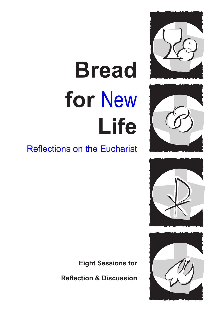# **Bread for** New **Life**









# Reflections on the Eucharist

**Eight Sessions for**

**Reflection & Discussion**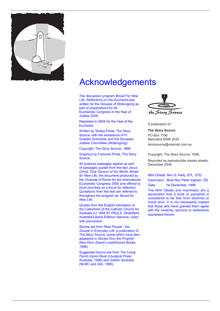

# Acknowledgements

The discussion program *Bread For New Life: Reflections on the Eucharist* was written for the Diocese of Wollongong as part of preparations for its Eucharistic Congress in the Year of Jubilee 2000.

Reprinted in 2004 for the Year of the Eucharist.

Written by Teresa Pirola, The Story Source, with the assistance of Fr Graham Schmitzer and the Diocesan Jubilee Committee (Wollongong).

Copyright: The Story Source, 1999.

Graphics by Francine Pirola, The Story Source.

All scripture passages appear as part of passages quoted from the text *Jesus Christ, Only Saviour of the World, Bread for New Life*, the document produced by the Vicariate of Rome for the International Eucharistic Congress 2000 and offered to local churches as a focus for reflection. Quotations from this text are referred to throughout the program as '*Bread for New Life*'.

Quotes from the English translation of the Catechism of the Catholic Church for Australia (c) 1994 ST PAULS, Strathfield, Australia/Liberia Editrice Vaticana. Used with permission.

Stories are from *Real People - the Gospel in Everyday Life*, a publication of The Story Source, some which have also appeared in *Stories from the Prophet Next Door* (David Lovell/Aurora Books, 1998).

Suggested hymns are from *The Living Parish Hymn Book* (Liturgical Press Australia, 1998) and *Gather Australia*  (NLMC and GIA, 1995).



A publication of:

**The Story Source** PO Box 1106 Maroubra NSW 2035 storysource@ozemail.com.au

Copyright: The Story Source, 1999.

Reprinted as reproducible master sheets, December 2004.

Nihil Obstat: Rev G. Kelly, STL, STD Imprimatur: Most Rev Peter Ingham, DD Date: 1st December, 1999

The Nihil Obstat and Imprimatur are a declaration that a book or pamphlet is considered to be free from doctrinal or moral error. It is not necessarily implied that those who have granted them agree with the contents, opinions or statements expressed therein.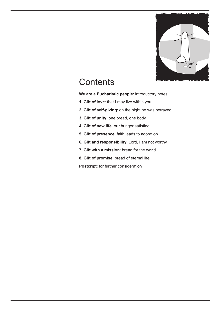

# **Contents**

**We are a Eucharistic people**: introductory notes

- **1. Gift of love**: that I may live within you
- **2. Gift of self-giving**: on the night he was betrayed...
- **3. Gift of unity**: one bread, one body
- **4. Gift of new life**: our hunger satisfied
- **5. Gift of presence**: faith leads to adoration
- **6. Gift and responsibility**: Lord, I am not worthy
- **7. Gift with a mission**: bread for the world
- **8. Gift of promise**: bread of eternal life

**Postcript**: for further consideration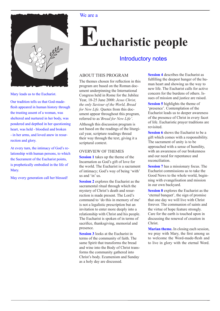



Mary leads us to the Eucharist.

Our tradition tells us that God-madeflesh appeared in human history through the trusting assent of a woman, was sheltered and nurtured in her body, was pondered and depthed in her questioning heart, was held - bloodied and broken - in her arms, and loved anew in resurrection and glory.

At every turn, the intimacy of God's relationship with human persons, to which the Sacrament of the Eucharist points, is prophetically embodied in the life of Mary.

May every generation call her blessed!

# **Eucharistic people**

### Introductory notes

#### ABOUT THIS PROGRAM

The themes chosen for reflection in this program are based on the Roman document underpinning the International Congress held in Rome for the Jubilee Year, 18-25 June 2000: *Jesus Christ, the only Saviour of the World, Bread for New Life.* Quotes from this document appear throughout this program, referred to as*'Bread for New Life'*.

Although this discussion program is not based on the readings of the liturgical year, scripture readings thread their way through the text, giving it a scriptural context.

#### OVERVIEW OF THEMES

**Session 1** takes up the theme of the Incarnation as God's gift of love for the world. The Eucharist is a sacrament of intimacy; God's way of being 'with' us and 'in' us.

**Session 2** explores the Eucharist as the sacramental ritual through which the mystery of Christ's death and resurrection is made present. The Lord's command to 'do this in memory of me' is not a legalistic prescription but an invitation to enter more deeply into a relationship with Christ and his people. The Eucharist is spoken of in terms of sacrifice, thanksgiving, memorial and presence.

**Session 3** looks at the Eucharist in terms of the community of faith. The same Spirit that transforms the bread and wine into the Body of Christ transforms the community gathered into Christ's body. Ecumenism and Sunday as a holy day are discussed.

**Session 4** describes the Eucharist as fulfilling the deepest hunger of the human heart and showing us the way to new life. The Eucharist calls for active concern for the burdens of others. Issues of mission and justice are raised.

**Session 5** highlights the theme of 'presence'. Contemplation of the Eucharist leads us to deeper awareness of the presence of Christ in every facet of life. Eucharistic prayer traditions are revisited.

**Session 6** shows the Eucharist to be a gift which comes with a responsibility. The sacrament of unity is to be approached with a sense of humility, with an awareness of our brokenness and our need for repentance and reconciliation.

**Session 7** has a missionary focus. The Eucharist commissions us to take the Good News to the whole world, beginning with evangelisation and mission in our own backyard.

**Session 8** explores the Eucharist as the 'eternal banquet', the sign of promise that one day we will live with Christ forever. The communion of saints and the virtue of hope feature strongly. Care for the earth is touched upon in discussing the renewal of creation in Christ.

**Marian theme.** In closing each session, we pray with Mary, the first among us to welcome the Word-made-flesh and to live in glory with the eternal Word.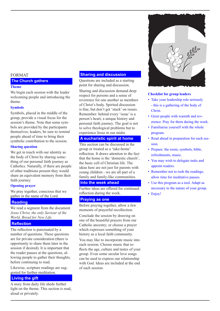#### FORMAT

#### **The Church gathers**

#### **Theme**

We begin each session with the leader welcoming people and introducing the theme.

#### **Symbols**

Symbols, placed in the middle of the group, provide a visual focus for the session's theme. Note that some symbols are provided by the participants themselves; leaders, be sure to remind people ahead of time to bring their symbolic contribution to the session.

#### **Sharing question**

We get in touch with our identity as the body of Christ by sharing something of our personal faith journey as Catholics. Naturally, if there are people of other traditions present they would share an equivalent memory from their faith journey.

#### **Opening prayer**

We pray together, conscious that we gather in the name of the Lord.

#### **Reading**

We read a segment from the document *Jesus Christ, the only Saviour of the World, Bread for New Life.*

#### **Reflection**

The reflection is punctuated by a number of questions. These questions are for private consideration (there is opportunity to share them later in the session if desired). It is important that the reader pauses at the questions, allowing people to gather their thoughts, before continuing to read.

Likewise, scripture readings are suggested for further meditation.

#### **Living the gift**

A story from daily life sheds further light on the theme. This section is read, aloud or privately.

#### **Sharing and discussion**

Questions are included as a starting point for sharing and discussion.

Sharing and discussion demand deep respect for persons and a sense of reverence for one another as members of Christ's body. Spirited discussion is fine, but don't get 'stuck' on issues. Remember: behind every 'issue' is a person's heart, a unique history and personal faith journey. The goal is not to solve theological problems but to experience Jesus in our midst.

#### **A eucharistic spirit at home**

This section can be discussed in the group or treated as a 'take-home' reflection. It draws attention to the fact that the home is the 'domestic church', the basic cell of Christian life. The ideas here are not just for parents with young children - we are all part of a family and family-like communities.

#### **Into the week ahead**

Further ideas are offered for continued reflection during the week.

#### **Praying as one**

Before praying together, allow a few moments of prayerful recollection.

Conclude the session by drawing on one of the beautiful prayers from our Catholic ancestry; or choose a prayer which expresses something of your history as a local faith community.

You may like to incorporate music into each session. Choose music that reflects the age, culture and tastes of your group. Even some secular love songs can be used to express our relationship with God. Ideas are included at the end of each session.



#### **Checklist for group leaders**

- Take your leadership role seriously - this is a gathering of the body of Christ.
- Greet people with warmth and reverence. Pray for them during the week.
- Familiarise yourself with the whole program.
- Read ahead in preparation for each session.
- Prepare: the room, symbols, bible, refreshments, music.
- You may wish to delegate tasks and appoint readers.
- Remember not to rush the readings, allow time for meditative pauses.
- Use this program as a tool. Adapt as necessary to the nature of your group.
- Enjoy!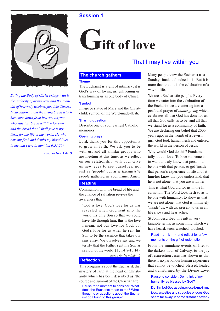

*Eating the Body of Christ brings with it the audacity of divine love and the scandal of heavenly wisdom, just like Christ's Incarnation: 'I am the living bread which has come down from heaven. Anyone who eats this bread will live for ever; and the bread that I shall give is my flesh, for the life of the world. He who eats my flesh and drinks my blood lives in me and I live in him' (Jn 6:51,56)*

Bread for New Life, 9

# **Gift of love**

### That I may live within you

#### **The church gathers**

#### **Theme**

The Eucharist is a gift of intimacy; it is God's way of loving us, enlivening us, transforming us as one body of Christ.

#### **Symbol**

Image or statue of Mary and the Christchild: symbol of the Word-made-flesh.

#### **Sharing question**

Describe one of your earliest Catholic memories.

#### **Opening prayer**

Lord, thank you for this opportunity to grow in faith. We ask you to be with us, and all similar groups who are meeting at this time, as we reflect on our relationship with you. Give us new eyes to see ourselves, not just as 'people' but as *a Eucharistic people* gathered in your name. Amen.

#### **Reading**

Communion with the bread of life and the chalice of salvation revives the awareness that

'God is love. God's love for us was revealed when God sent into the world his only Son so that we could have life through him; this is the love I mean: not our love for God, but God's love for us when he sent his Son to be the sacrifice that takes our sins away. We ourselves say and we testify that the Father sent his Son as saviour of the world' (1 Jn 4:8-10,14).

*Bread for New Life*, 12

#### **Reflection**

This program is about the Eucharist: that mystery of faith at the heart of Christianity which has been described as 'the source and summit of the Christian life'.

Pause for a moment to consider: What does the Eucharist mean to me? What thoughts or questions about the Eucharist do I bring to this group?

Many people view the Eucharist as a Sunday ritual, and indeed it is. But it is more than that. It is the celebration of a way of life.

We are a Eucharistic people. Every time we enter into the celebration of the Eucharist we are entering into a profound prayer of *thanksgiving* which celebrates all that God has done for us, all that God calls us to be, and all that we stand for as a community of faith. We are declaring our belief that 2000 years ago, in the womb of a Jewish girl, God took human flesh and entered the world in the person of Jesus.

Why would God do this? Fundamentally, out of love. To love someone is to want to truly know that person, to be one with that person, to get 'inside' that person's experience of life and let him/her know that you understand, that he is not alone, that you are with her.

This is what God did for us in the Incarnation. The Word took flesh so as to be one with humanity; to show us that we are not alone, that God is intimately 'inside' us, with us, present to us in all life's joys and heartaches.

St John described this gift in very tangible terms: as something which we have heard, seen, watched, touched.

#### Read 1 Jn 1:1-14 and reflect for a few moments on the gift of redemption.

From the mundane events of life, to the darkest hour of Calvary, to the joy of resurrection Jesus has shown us that there is no part of our human experience that cannot be touched, blessed, healed and transformed by the Divine Love.

Pause to consider: Do I think of my humanity as blessed by God?

Do I think of God as being close to me in my joys, anxieties and struggles or does God seem far away in some distant heaven?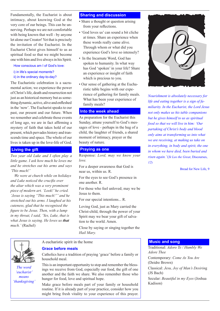Fundamentally, the Eucharist is about intimacy, about knowing God at the very core of our beings. This can be unnerving. Perhaps we are not comfortable with being known that well - by anyone let alone our Creator! Yet that is precisely the invitation of the Eucharist. In the Eucharist Christ gives himself to us as spiritual food so that we might become one with him and live always in his Spirit.

#### How conscious am I of God's love:

i) in life's special moments? ii) in the ordinary day-to-day?

The Eucharistic celebration is a sacramental action; we experience the power of Christ's life, death and resurrection not just as an historical memory but as something dynamic, active, alive and enfleshed in the 'now'. The Eucharist speaks to our past, our present and our future. When we remember and celebrate those events of long ago, we are in fact affirming a mystery of faith that takes hold of our present, which pervades history and transcends time and space. The whole of our

#### **Living the gift**

*Two year old Luke and I often play a little game. I ask how much he loves me and he stretches out his arms and says 'This much!'*

lives is taken up in the love-life of God.

 *We were at church while on holidays and Luke noticed the crucifix over the altar which was a very prominent piece of modern art. 'Look!' he cried. 'Jesus is saying "This much!"' and he stretched out his arms. I laughed at his cuteness, glad that he recognised the figure to be Jesus. Then, with a lump in my throat, I said, 'Yes, Luke, that is what Jesus is saying. He loves us that much.'* (Rachel)

#### **Sharing and discussion**

- Share a thought or question arising from your reflections.
- 'God loves us' can sound a bit cliche at times. Share an experience when these words really came alive. Through whom or what did you experience God's love so intensely?
- In the Incarnate Word, God has spoken to humanity. In what way has God 'spoken' in your life? Share an experience or insight of faith which is precious to you.
- Our sense of gathering at the Eucharistic table begins with our experience of gathering for family meals. What has been your experience of family meals?

#### **Into the week ahead**

As preparation for the Eucharist this Sunday, attune yourself to God's messages of love - perhaps in the hug of a child, the laughter of friends, a shared moment of intimacy, prayer or the beauty of nature.

#### **Praying as one**

Response: *Lord, may we know your love.*

For a deeper awareness that God is near us, within us. R.

For the eyes to see God's presence in one another. R.

For those who feel unloved; may we be Jesus to them.

For our special intentions... R.

Loving God, just as Mary carried the Christ-child, through the power of your Spirit may we bear your gift of salvation to the world. Amen.

Close by saying or singing together the *Hail Mary.*



*The word 'eucharist' means 'thanksgiving'* A eucharistic spirit in the home

#### **Grace before meals**

Catholics have a tradition of praying 'grace' before a family or household meal.

This is an important opportunity to stop and remember the blessings we receive from God, especially our food, the gift of one another and the faith we share. We also remember those who hunger for food, love and spiritual hope.

Make grace before meals part of your family or household routine. If it is already part of your practice, consider how you might bring fresh vitality to your experience of this prayer.



*Nourishment is absolutely necessary for life and eating together is a sign of familiarity. In the Eucharist, the Lord Jesus not only makes us his table companions but he gives himself to us as spiritual food so that we will live in him: 'Our partaking of Christ's body and blood only aims at transforming us into what we are receiving, at making us take on in everything, in body and spirit, the one in whom we have died, been buried and risen again.'* (*St Leo the Great*, Discourses, *12*)

Bread for New Life, 9

#### **Music and song**

Traditional: *Adoro Te / Humbly We Adore Thee* Contemporary: *Come As You Are* (Deidre Brown) Classical: *Jesu, Joy of Man's Desirin*g (JS Bach) Secular: *Beautiful in my Eyes* (Joshua Kadison)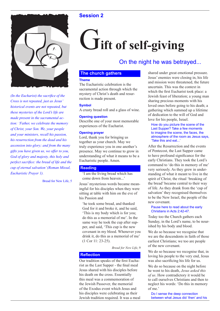

*(In the Eucharist) the sacrifice of the Cross is not repeated, just as Jesus' historical events are not repeated, but these mysteries of the Lord's life are made present in the sacramental action: 'Father, we celebrate the memory of Christ, your Son. We, your people and your ministers, recall his passion, his resurrection from the dead and his ascension into glory; and from the many gifts you have given us, we offer to you, God of glory and majesty, this holy and perfect sacrifice: the bread of life and the cup of eternal salvation' (Roman Missal, Eucharistic Prayer 1).*

Bread for New Life, 5

# G**ift of self-giving**

### On the night he was betrayed...

#### **The church gathers**

#### **Theme**

The Eucharistic celebration is the sacramental action through which the mystery of Christ's death and resurrection is made present.

#### **Symbol**

A crusty bread roll and a glass of wine.

#### **Opening question**

Describe one of your most memorable experiences of the Eucharist.

#### **Opening prayer**

Lord, thank you for bringing us together as your church. May we truly experience you in one another's presence. May we continue to grow in understanding of what it means to be a Eucharistic people. Amen.

#### **Reading**

'I am the living bread which has come down from heaven...'

Jesus' mysterious words became meaningful for his disciples when they were sitting at table with him on the eve of his Passion and

'he took some bread, and thanked God for it and broke it, and he said, 'This is my body which is for you; do this as a memorial of me'. In the same way he took the cup after supper, and said, 'This cup is the new covenant in my blood. Whenever you drink it, do this as a memorial of me' (1 Cor 11: 23-25).

*Bread for New Life*, 9

#### **Reflection**

Our tradition speaks of the first Eucharist as the Last Supper - the final meal Jesus shared with his disciples before his death on the cross. Essentially this meal was a commemoration of the Jewish Passover, the memorial of the Exodus event which Jesus and his disciples were celebrating as their Jewish tradition required. It was a meal shared under great emotional pressure. Jesus' enemies were closing in, his life and mission were threatened, the future uncertain. This was the context in which the first Eucharist took place: a Jewish feast of liberation; a young man sharing precious moments with his loved ones before going to his death; a gathering which summed up a lifetime of dedication to the will of God and love for his people, Israel.

#### How do you picture the scene of the Last Supper? Take a few moments to imagine the scene, the faces, the atmosphere of the room as Jesus says, 'Take this and eat...'

After the Resurrection and the events of Pentecost, the Last Supper came to have profound significance for the early Christians. They took the Lord's command to 'do this in memory of me' very seriously. As they grew in understanding of what it meant to live in the spirit of Christ, the ritual 'breaking of the bread' became central to their way of life. As they drank from the 'cup of salvation' they recognised themselves to be the New Israel, the people of the new covenant.

#### Pause here to read about the early Christians in Acts 2:42-47.

Today too the Church gathers each Sunday, in the Lord's name, to be nourished by his body and blood.

We do so because we recognise that we are the descendents in faith of those earliest Christians; we too are people of the new covenant.

We do so because we recognise that, in loving his people to the very end, Jesus was also sacrificing his life for us.

We do so because on the night before he went to his death, *Jesus asked this of us*. How contradictory it would be to call ourselves Christians and then to neglect his words: 'Do this in memory of me.'

Do I sense the deep connection between what Jesus did 'then' and his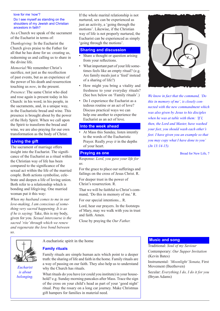#### love for me 'now'?

#### Do I see myself as standing on the shoulders of my Jewish and Christian ancestors in faith?

As a Church we speak of the sacrament of the Eucharist in terms of:

*Thanksgiving:* In the Eucharist the Church gives praise to the Father for all that he has done for us: creating us, redeeming us and calling us to share in the divine life.

*Memorial:*We remember Christ's sacrifice, not just as the recollection of past events, but as an experience of the power of his death and resurrection touching us *now*, in the present.

*Presence*: The same Christ who died and rose again is present today in his Church: in his word, in his people, in the sacraments, and, in a unique way, in the Eucharistic bread and wine. This presence is brought about by the power of the Holy Spirit. When we call upon the Spirit to transform the bread and wine, we are also praying for our own transformation as the body of Christ.

#### **Living the gift**

The sacrament of marriage offers insight into the Eucharist. The significance of the Eucharist as a ritual within the Christian way of life has been compared to the significance of the sexual act within the life of the married couple. Both actions symbolise, celebrate and deepen a life of loving union. Both refer to a relationship which is bonding and lifegiving. One married woman put it this way:

*When my husband comes to me in our love-making, I am conscious of something very sacred happening. It is as if he is saying:* Take, this is my body, given for you. *Sexual intercourse is the sacred 'rite' through which we renew and regenerate the love bond between us.*

If the whole marital relationship is not nurtured, sex can be experienced as just an activity, a 'going through the motions'. Likewise, if the Christian way of life is not properly nurtured, the Eucharist can be experienced as simply 'going through the motions'.

#### **Sharing and discussion**

- Share a thought or question arising from your reflections.
- What important part of your life sometimes feels like an empty ritual? (e.g. Are family meals just a 'feed' instead of a sharing of life?)
- How might you bring a vitality and freshness to your everyday rituals? (See box below on 'Family rituals'.)
- Do I experience the Eucharist as a tedious routine or an act of love? Discuss practical ways we can help one another to experience the Eucharist as an act of love.

#### **Into the week ahead**

At Mass this Sunday, listen intently to the words of the Eucharistic Prayer. Really *pray it* in the depths of your heart.

#### **Praying as one**

Response: *Lord, you gave your life for us.*

For the grace to place our sufferings and failings on the cross of Jesus Christ. R.

For deeper trust in the power of Christ's resurrection. R.

That we will be faithful to Christ's command, 'Do this in memory of me.' R.

For our special intentions... R.

Lord, hear our prayers. In the footsteps of Mary, may we walk with you in trust and faith. Amen.

Close by praying the *Our Father.*



*We know in fact that the command, 'Do this in memory of me', is closely connected with the new commandment which was also given by Jesus to his disciples when he was at table with them: 'If I, then, the Lord and Master, have washed your feet, you should wash each other's feet. I have given you an example so that you may copy what I have done to you' (Jn 13:14-15).*

Bread for New Life, 7

*Eucharist is about belonging.* A eucharistic spirit in the home

#### **Family rituals**

Family rituals are simple human acts which point to a deeper truth: the sharing of life and faith in the home. Family rituals are a way of passing on our faith. They also help us to understand why the Church has rituals.

What rituals do you have (or could you institute) in your household? e.g. Sunday morning pancakes after Mass. Trace the sign of the cross on your child's head as part of your 'good night' ritual. Pray the rosary on a long car journey. Make Christmas gift hampers for families in material need.

#### **Music and song**

Traditional: *Soul of my Saviour* Contemporary: *Our Supper Invitation*  (Kevin Bates) Instrumental: *'Moonlight' Sonata,* First

Movement (Beethoven)

Secular: *Everything I do, I do it for you* (Bryan Adams)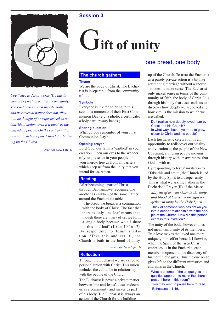

*Obedience to Jesus' words 'Do this in memory of me', is paid as a community. The Eucharist is not a private matter and its ecclesial nature does not allow it to be thought of or experienced as an individual action, even if it involves the individual person. On the contrary, it is always an action of the Church for building up the Church.'*

Bread for New Life, 6

# G**ift of unity**

### **The church gathers**

#### **Theme**

We are the body of Christ. The Eucharist is inseparable from the community of faith.

#### **Symbols**

Everyone is invited to bring to this session a momento of their First Communion Day (e.g. a photo, a certificate, a holy card, rosary beads.)

#### **Sharing question**

What do you remember of your First Communion Day?

#### **Opening prayer**

Lord God, our faith is 'earthed' in your creation. Open our eyes to the wonder of your presence in your people. In your mercy, free us from all barriers which keep us from the unity that you intend for us. Amen.

#### **Reading**

After becoming a part of Christ through Baptism...we recognise one another as children of the same Father around the Eucharistic table:

'The bread we break is a communion with the body of Christ. The fact that there is only one loaf means that, though there are many of us, we form a single body because we all share in this one loaf' (1 Cor 10:16-17). By responding to Jesus' invitation, 'Take this and eat it', the Church is built in the bond of unity.

*Bread for New Life*, 10

#### **Reflection**

Through the Eucharist we are called to personal union with Christ. This union includes the call to be in relationship with the people of the Church.

The Eucharist is never a private matter between 'me and Jesus'. Jesus redeems us as a community and makes us part of his body. The Eucharist is always an action of the Church for the building

### one bread, one body

up of the Church. To treat the Eucharist as a purely private action is a bit like attempting marriage without a spouse - it doesn't make sense. The Eucharist only makes sense in terms of the community of faith, the body of Christ. It is through his body that Jesus calls us to discover how deeply we are loved and how vital is the mission to which we are called.

Do I realise how deeply loved I am by Christ and his Church? In what ways have I yearned to grow closer to Christ and his people?

Each Eucharistic celebration is an opportunity to rediscover our vitality and vocation as the people of the New Covenant, a pilgrim people moving through history with an awareness that God is with us.

By responding to Jesus' invitation to 'Take this and eat it', the Church is led by the Holy Spirit to a deeper unity. This is what we ask the Father in the Eucharistic Prayer (II) of the Mass:

*May all of us who share in the body and blood of Christ be brought together in unity by the Holy Spirit.* Think of someone who has drawn you into a deeper relationship with the people of the Church. How did this person express this invitation?

The unity of the body, however does not mean uniformity of its members. True love makes the loved one more uniquely himself or herself. Likewise, when the Spirit of the risen Christ embraces us in the Eucharist, each member is opened to the discovery of his/her unique gifts. Thus the one bread gives life to the different ministries and charisms in the Church.

What are some of the unique gifts and qualities apparent to me in the church present here in this room? You may wish to pause here to read Ephesians 4:1-16.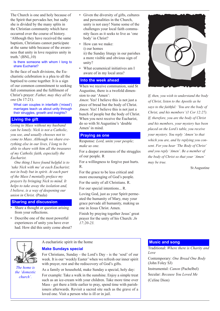The Church is one and holy because of the Spirit that pervades her, but sadly she is divided by the many splits in the Christian community which have occurred over the course of history.

'Although they have received the same baptism, Christians cannot participate at the same table because of the awareness that unity in love requires unity in truth.' (BNL,10)

#### Is there someone with whom I long to share Eucharist?

In the face of such divisions, the Eucharistic celebration is a plea to all the baptised to come together. It is a sign of our common commitment to seeking full communion and the fulfilment of Christ's prayer: *Father, may they all be one* (Jn 17:21).

What can couples in interfaith ('mixed') marriages teach us about unity through their struggles, growth and insights?

#### **Living the gift**

*Going to Mass without my husband can be lonely. Nick is not a Catholic, you see, and usually chooses not to come to Mass. Although we share everything else in our lives, I long to be able to share with him all the treasures of my Catholic faith, especially the Eucharist.* 

 *One thing I have found helpful is to 'take Nick with me' at each Eucharist; not in body but in spirit. At each part of the Mass I mentally preface my prayers by bringing Nick to mind. It helps to take away the isolation and, I believe, is a way of deepening our union in Christ.* (Paula)

#### **Sharing and discussion**

- Share a thought or question arising from your reflections.
- Describe one of the most powerful experiences of unity you have ever had. How did this unity come about?
- Given the diversity of gifts, cultures and personalities in the Church, unity is not easy! Name some of the challenges your local faith community faces as it seeks to live as 'one body' in Christ?
- How can we make: i) our homes ii) the Sunday liturgy in our parishes a more visible and obvious sign of unity?
- What ecumenical initiatives am I aware of in my local area?

#### **Into the week ahead**

When we receive communion, said St Augustine, there is a twofold dimension to our 'Amen':

*Amen*: Yes! I believe this is not just a piece of bread but the body of Christ. *Amen*: Yes! I believe this is not just a bunch of people but the body of Christ. When you next receive the Eucharist, do so with St Augustine's 'double Amen' in mind.

#### **Praying as one**

Response: *Lord, unite your people; make us one.*

For a deeper awareness of the struggles of our people. R

For a willingness to forgive past hurts. R.

For the grace to be less critical and more encouraging of God's people.

For the unity of all Christians. R.

For our special intentions... R.

Loving God, just as your Spirit permeated the humanity of Mary, may your grace pervade all humanity, making us one in Jesus Christ. Amen.

Finish by praying together Jesus' great prayer for the unity of his Church: *Jn 17:20-23.* 



*If, then, you wish to understand the body of Christ, listen to the Apostle as he says to the faithful: 'You are the body of Christ, and his members' (1 Cor 12:27). If, therefore, you are the body of Christ and his members, your mystery has been placed on the Lord's table, you receive your mystery. You reply 'Amen' to that which you are, and by replying you consent. For you hear 'The Body of Christ' and you reply 'Amen'. Be a member of the body of Christ so that your 'Amen' may be true.*

St Augustine

*The home is the 'domestic church'.*

#### A eucharistic spirit in the home

#### **Make Sundays special**

For Christians, Sunday - the Lord's Day - is the 'soul' of our week. It is our 'weekly Easter' when we refresh our inner spirit with prayer, rest and the rediscovery of God's gifts.

As a family or household, make Sunday a special, holy day:

For example: Take a walk in the sunshine. Enjoy a simple treat such as an ice-cream with your children. Take more time over Mass - get there a little earlier to pray, spend time with parishioners afterwards. Revisit a sacred site such as the grave of a loved one. Visit a person who is ill or in jail.

#### **Music and song**

Traditional: *Where there is Charity and Love* Contemporary: *One Bread One Body*  (John Foley SJ) Instrumental: *Canon* (Pachelbel) Secular: *Because You Loved Me*  (Celine Dion)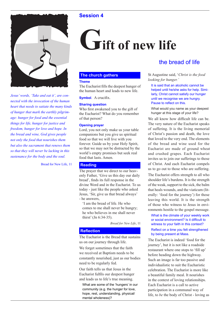

*Jesus' words, 'Take and eat it', are connected with the invocation of the human heart that needs to satiate the many kinds of hunger that mark the earthly pilgrimage: hunger for food and the essential things for life, hunger for justice and freedom, hunger for love and hope. In the bread and wine, God gives people not only the food that nourishes them but also the sacrament that renews them so that they will never be lacking in this sustenance for the body and the soul.*

Bread for New Life, 11

# **Gift of new life**

#### **The church gathers**

#### **Theme**

The Eucharist fills the deepest hunger of the human heart and leads to new life.

**Symbol.** A crucifix.

#### **Sharing question**

Who first awakened you to the gift of the Eucharist? What do you remember of that person?

#### **Opening prayer**

Lord, you not only make us your table companions but you give us spiritual food so that we will live with you forever. Guide us by your Holy Spirit, so that we may not be distracted by the world's empty promises but seek real food that lasts. Amen.

#### **Reading**

The prayer that we direct to our heavenly Father, 'Give us this day our daily bread', finds its full response in the divine Word and in the Eucharist. To us today - just like the people who asked Jesus, 'Sir, give us that bread always' - he answers,

'I am the bread of life. He who comes to me shall never be hungry; he who believes in me shall never thirst' (Jn 6:34-35).

*Bread for New Life*, 11

#### **Reflection**

The Eucharist is the Bread that sustains us on our journey through life.

We forget sometimes that the faith we received at Baptism needs to be constantly nourished, just as our bodies need to be regularly fed.

Our faith tells us that Jesus in the Eucharist fulfils our deepest hunger and leads us to life's true meaning.

What are some of the 'hungers' in our community (e.g. the hunger for love, hope, rest, understanding, physical/ mental wholeness)?

### the bread of life

St Augustine said, '*Christ is the food looking for hunger.'*

It is said that an alcoholic cannot be helped until he/she asks for help. Similarly, Christ cannot satisfy our hunger until we recognise we are hungry. Pause to reflect on this.

What would you name as your deepest hunger at this stage of your life?

We all know how difficult life can be. The very nature of the Eucharist speaks of suffering. It is the living memorial of Christ's passion and death, the love that loved to the very end. The elements of the bread and wine used for the Eucharist are made of ground wheat and crushed grapes. Each Eucharist invites us to join our sufferings to those of Christ. And each Eucharist compels us to go out to those who are suffering. The Eucharist offers strength to all who shoulder life's burdens. It is the strength of the weak, support to the sick, the balm that heals wounds, and the viaticum (literally: 'food for the journey') for those leaving this world. It is the strength of those who witness to Jesus in environments hostile to the gospel message.

#### What is the climate of your weekly work or social environment? Is it difficult to witness to your faith in this context? Reflect on a time you felt strengthened by being present at Mass.

The Eucharist is indeed 'food for the journey', but it is not like a roadside restaurant where one stops to 'fill up' before heading down the highway. Such an image is far too passive and individualistic to suit the Eucharistic celebration. The Eucharist is more like a beautiful family meal. It nourishes in the context of loving relationships. Each Eucharist is a call to active participation in a communal way of life, to *be* the body of Christ - loving as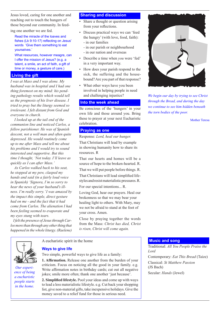Jesus loved, caring for one another and reaching out to touch the hungers of those beyond our community. In feed-

ing one another we are fed.

Read the miracle of the loaves and fishes (Lk 9:10-17) reflecting on Jesus' words 'Give them something to eat yourselves.'

What resources, however meagre, can I offer the mission of Jesus? (e.g. a talent, a smile, an act of faith, a gift of time or money, a gesture of care.)

#### **Living the gift**

*I was at Mass and I was alone. My husband was in hospital and I had one thing foremost on my mind: his pending pathology results which would tell us the prognosis of his liver disease. I tried to pray but the liturgy seemed so irrelevant. I felt distant from God and everyone in church.* 

 *I looked up at the tail end of the communion line and noticed Carlos, a fellow parishioner. He was of Spanish descent, not a well man and often quite depressed. He would routinely come up to me after Mass and tell me about his problems and I would try to sound interested and supportive. But this time I thought, 'Not today. I'll leave as quickly as I can after Mass.'* 

 *As Carlos walked back to his seat, he stopped at my pew, clasped my hands and said (in a fairly loud voice in Spanish) 'Signora, I'm so sorry to hear the news of your husband's illness. I'm really sorry.' I was amazed by the impact this simple, direct gesture had on me - and the fact that it had come from Carlos. The alienation I had been feeling seemed to evaporate and my eyes stung with tears.* 

 *I felt the presence of Jesus through Carlos more than through any other thing that happened in the whole liturgy. (Raelene)*

#### **Sharing and discussion**

- Share a thought or question arising from your reflections.
- Discuss practical ways we can 'feed the hungry' (with love, food, faith): - in our families
	- in our parish or neighbourhood
	- in our nation and overseas
- Describe a time when *you* were 'fed' in a very important way.
- How does your parish respond to the sick, the suffering and the housebound? Are you part of that response?
- What other ways have you been involved in helping people in need and challenging injustice?

#### **Into the week ahead**

Be conscious of the 'hungers' in your own life and those around you. Bring these to prayer at your next Eucharistic celebration.

#### **Praying as one**

Response: *Lord, heal our hunger.* That Christians will lead by example in showing humanity how to share its resources. R

That our hearts and homes will be a source of hope to the broken-hearted. R.

That we will put people before things. R.

That Christians will lead simplified lifestyles and resist materialistic pressures. R.

For our special intentions... R.

Loving God, hear our prayers. Heal our brokenness so that we may bear your healing light to others. With Mary, may we not be afraid to stand at the foot of your cross. Amen.

Close by praying together the words from the Mass: *Christ has died, Christ is risen, Christ will come again.*



*Our experience of being a eucharistic people starts in the home.*

A eucharistic spirit in the home

#### **Ways to give life**

Two simple, powerful ways to give life as a family:

**1. Affirmation.** Release one another from the burden of your criticism. Focus on noticing all the good in your family. e.g. Write affirmation notes in birthday cards; cut out all negative jokes; smile more often; thank one another 'just because'.

**2. Simplified lifestyle.** Pool your ideas and come up with ways to lead a less materialistic lifestyle. e.g. Cut back your shopping list, give non-material gifts, take inexpensive holidays. Give the money saved to a relief fund for those in serious need.



*We begin our day by trying to see Christ through the Bread, and during the day we continue to see him hidden beneath the torn bodies of the poor.*

Mother Teresa

#### **Music and song**

Traditional: *All You People Praise the Lord* Contemporary: *Eat This Bread* (Taize) Classical: *St Matthew Passion*  (JS Bach) Secular: *Hands* (Jewel)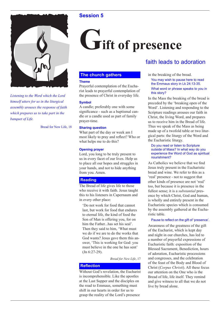



*Listening to the Word which the Lord himself utters for us in the liturgical assembly arouses the response of faith which prepares us to take part in the banquet of Life.*

Bread for New Life, 18

# Gift of presence

#### **The church gathers**

#### **Theme**

Prayerful contemplation of the Eucharist leads to prayerful contemplation of the presence of Christ in everyday life.

#### **Symbol**

A candle; preferably one with some significance - such as a baptismal candle or a candle used as part of family prayer-time.

#### **Sharing question**

What part of the day or week am I most likely to pray and reflect? Who or what helps me to do this?

#### **Opening prayer**

Lord, you long to be truly present to us in every facet of our lives. Help us to place all our hopes and struggles in your hands, and not to hide anything from you. Amen.

#### **Reading**

The Bread of life gives life to those who receive it with faith. Jesus taught this to his listeners in Capernaum and in every other place:

'Do not work for food that cannot last, but work for food that endures to eternal life, the kind of food the Son of Man is offering you, for on him the Father...has set his seal'. Then they said to him, 'What must we do if we are to do the works that God wants? Jesus gave them this answer, 'This is working for God: you must believe in the one he has sent' (Jn 6:27-29).

*Bread for New Life*, 17

#### **Reflection**

Without God's revelation, the Eucharist is incomprehensible. Like the apostles at the Last Supper and the disciples on the road to Emmaus, something must shift in our hearts in order for us to grasp the reality of the Lord's presence

## faith leads to adoration

in the breaking of the bread.

You may wish to pause here to read the Emmaus story in Lk 24:13-35. What word or phrase speaks to you in this story?

In the Mass the breaking of the bread is preceded by the 'breaking open of the Word'. Listening and responding to the Scripture readings arouses our faith in Christ, the living Word, and prepares us to receive him in the Bread of life. Thus we speak of the Mass as being made up of a twofold table or two liturgical parts: the liturgy of the Word and the Eucharistic liturgy.

#### Do you read or listen to Scripture outside of Mass? In what way do you experience the Word of God as spiritual nourishment?

As Catholics we believe that we find Jesus truly present in the Eucharistic bread and wine. We refer to this as a 'real' presence - not to suggest that other kinds of presence are not 'real' too, but because it is presence in the fullest sense; it is a *substantial* presence by which Christ, God and human, is wholly and entirely present in the Eucharistic species which is consumed by the assembly gathered at the Eucharistic table.

#### Pause to reflect on the gift of 'presence'.

Awareness of the greatness of the gift of the Eucharist, which is kept day and night in our churches, has led to a number of prayerful expressions of Eucharistic faith: exposition of the Blessed Sacrament, Benediction, hours of adoration, Eucharistic processions and congresses, and the celebration of the feast of the Body and Blood of Christ (*Corpus Christi*). All these focus our attention on the One who is the Bread of life, life itself. They remind and give witness to all that we do not live by bread alone.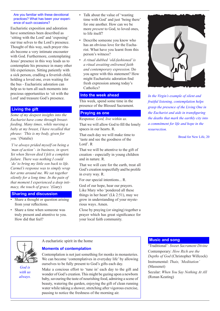#### Are you familiar with these devotional practices? What has been your experience of such occasions?

Eucharistic exposition and adoration have sometimes been described as 'sitting with the Lord' and 'exposing' our true selves to the Lord's presence. Thought of this way, such prayer rituals become a very intimate encounter with God. Furthermore, contemplating Jesus' presence in this way leads us to contemplate his presence in many other life experiences. Sitting patiently with a sick person, cradling a feverish child, holding a loved one, even waiting for the bus - Eucharistic adoration can help us to turn all such moments into precious opportunities to 'sit with the Lord' and treasure God's presence.

#### **Living the gift**

*Some of my deepest insights into the Eucharist have come through breastfeeding. Many times, while nursing a baby at my breast, I have recalled that phrase: 'This is my body, given for you.'* (Natalie)

*'I've always prided myself on being a 'man of action' - in business, in sport. Yet when Steven died I felt a complete failure. There was nothing I could 'do' to bring my little son back to life. Carmel's response was to simply wrap her arms around me. We sat together silently for a long time. In the pain of that moment I experienced a deep intimacy, the touch of grace.'* (Gary)

#### **Sharing and discussion**

- Share a thought or question arising from your reflections.
- Share a time when someone was truly present and attentive to you. How did that feel?
- Talk about the value of 'wasting' time with God' and just 'being there' for one another. How can we be more *present* to God, to loved ones, to life itself?
- Describe someone you know who has an obvious love for the Eucharist. What have you learnt from this person's witness?
- *A ritual dubbed 'old-fashioned' is a ritual awaiting enlivened faith and contemporary expression.* Do you agree with this statement? How might Eucharistic adoration find fresh expression among today's Catholics?

#### **Into the week ahead**

This week, spend some time in the presence of the Blessed Sacrament.

#### **Praying as one**

Response: *Lord, live within us.*

That we will allow God to fill the lonely spaces in our hearts. R.

That each day we will make time to 'taste and see the goodness of the Lord'. R

That we will be attentive to the gift of creation - especially in young children and in nature. R.

That we will care for the earth, treat all God's creation respectfully and be prolife in every way. R.

For our special intentions... R.

God of our hope, hear our prayers. Like Mary who 'pondered all these things in her heart' (Lk 2:51), may we grow in understanding of your mysterious ways. Amen.

Close by praying (or singing) together a prayer which has great significance for your local faith community.



*In the Virgin's example of silent and fruitful listening, contemplation helps grasp the presence of the Living One in the Eucharist and aids in transfiguring the deaths that mark the earthly city into a commitment for life and hope in the resurrection.*

Bread for New Life, 20

*God is with us always.*

A eucharistic spirit in the home

#### **Moments of contemplation**

Contemplation is not just something for monks in monasteries. We can become 'contemplatives in everyday life' by allowing ourselves to be fully present to God's gifts each day.

Make a concious effort to 'tune in' each day to the gift and wonder of God's creation. This might be gazing upon a newborn baby, savouring the taste of nourishing food, admiring a scene of beauty, watering the garden, enjoying the gift of clean running water while taking a shower, stretching after vigorous exercise, pausing to notice the freshness of the morning air.

#### **Music and song**

'Traditional': *Sweet Sacrament Divine* Contemporary: *How Rich are the Depths of God* (Christopher Willcock) Instrumental: *Thais, 'Meditation'*  (Massenet) Secular: *When You Say Nothing At All*

(Ronan Keating)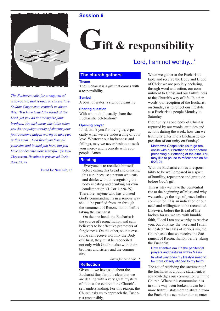

*The Eucharist calls for a* response of renewed life *that is open to sincere love. St John Chrysostom reminds us about this: 'You have tasted the Blood of the Lord, yet you do not recognise your brother... You dishonour this table when you do not judge worthy of sharing your food someone judged worthy to take part in this meal... God freed you from all your sins and invited you here, but you have not become more merciful.'* (St John Chrysostom, *Homiliae in primam ad Corinthios*, 27, 4).

Bread for New Life, 15

# **Fift & responsibility**

### 'Lord, I am not worthy...'

#### **The church gathers**

#### **Theme**

The Eucharist is a gift that comes with a responsibility.

#### **Symbol**

A bowl of water: a sign of cleansing.

#### **Sharing question**

With whom do I usually share the Eucharistic celebration?

#### **Opening prayer**

Lord, thank you for loving us, especially when we are undeserving of your love. Whatever our brokenness and failings, may we never hesitate to seek your mercy and reconcile with your people. Amen.

#### **Reading**

'Everyone is to recollect himself before eating this bread and drinking this cup; because a person who eats and drinks without recognising the body is eating and drinking his own condemnation' (1 Cor 11:28-29).

Therefore, anyone who has violated God's commandments in a serious way should be purified from sin through the sacrament of Reconciliation before taking the Eucharist.

 On the one hand, the Eucharist is the source of reconciliation and calls believers to be effective promoters of forgiveness. On the other, so that everyone can receive worthily the Body of Christ, they must be reconciled not only with God but also with their brothers and sisters and the community.

*Bread for New Life*, 15

#### **Reflection**

Given all we have said about the Eucharist thus far, it is clear that we are dealing with a very great mystery of faith at the centre of the Church's self-understanding. For this reason, the Church asks us to approach the Eucharist responsibly.

When we gather at the Eucharistic table and receive the Body and Blood of Christ we are publicly declaring, through word and action, our commitment to Christ and our faithfulness to the Church's way of life. In other words, our reception of the Eucharist on Sundays is to reflect our lifestyle as a Eucharistic people Monday to Saturday.

If our unity as one body of Christ is ruptured by our words, attitudes and actions during the week, how can we truthfully enter into a Eucharistic expression of our unity on Sunday?

Matthew's Gospel tells us to go reconcile with our brother or sister before presenting our offering at the altar. You may like to pause to reflect here on Mt 5:23-24.

With the Eucharist comes a responsibility to be well prepared in a spirit of humility, repentance and gratitude before God's gift.

This is why we have the penitential rite at the beginning of Mass and why we exchange the sign of peace before communion. It is an indication of our need and willingness to be reconciled. Likewise, before the Bread of life broken for us, we say with humble faith, 'Lord I am not worthy to receive you, but only say the word and I shall be healed.' In cases of serious sin, the Church asks that we receive the Sacrament of Reconciliation before taking the Eucharist.

#### How attentive am I to the penitential prayers and gestures within Mass? In what way does my lifestyle need to be more closely aligned to my faith?

The act of receiving the sacrament of the Eucharist is a public statement; it acknowledges our communion with the Church. Where this communion has in some way been broken, it can be a more truthful statement to abstain from the Eucharistic act rather than to enter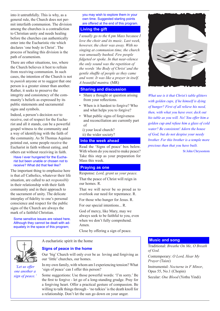into it untruthfully. This is why, as a general rule, the Church does not permit interfaith communion. The division among the churches is a contradiction to Christian unity and needs healing before the churches can authentically enter into the Eucharistic rite which declares 'one body in Christ'. The process of healing this division is the path of ecumenism.

There are other situations, too, where the Church believes it best to refrain from receiving communion. In such cases, the intention of the Church is not to *punish* anyone or to suggest that one person is a greater sinner than another. Rather, it seeks to preserve the integrity and consistency of the community's beliefs as expressed by its public statements and sacramental signs and symbols.

Indeed, a person's decision *not* to receive, out of respect for the Eucharist and all it stands, can be a powerful gospel witness to the community and a way of identifying with the faith of the community. As St Thomas Aquinas pointed out, some people receive the Eucharist in faith without eating, and others eat without receiving in faith.

Have I ever hungered for the Eucharist but been unable or chosen not to receive? What did that feel like?

The important thing to emphasise here is that *all* Catholics, whatever their life situation, are called to act *responsibly*  in their relationship with their faith community and in their approach to the sacrament of unity. The delicate interplay of fidelity to one's personal conscience and respect for the public signs of the Church are always the mark of a faithful Christian.

Some sensitive issues are raised here. Although they cannot be dealt with adequately in the space of this program;

you may wish to explore them in your own time. Suggested starting points are offered at the end of this program.

#### **Living the gift**

*I usually go to the 6 pm Mass because I love the choir and its music. Last week, however, the choir was away. With no singing at communion time, the church was unusually hushed. Few people fidgeted or spoke. In that near-silence the only sound was the repetition of the words 'the Body of Christ' and the gentle shuffle of people as they came and went. It was like a prayer in itself. A beautiful mantra.* (MR)

#### **Sharing and discussion**

- Share a thought or question arising from your reflections.
- When is it hardest to forgive? Who and what helps you to forgive?
- What public signs of forgiveness and reconciliation are currently part of
	- i) your local church? ii) the wider society?

#### **Into the week ahead**

Read the 'Signs of peace' box below. With whom do you need to make peace? Take this step as your preparation for Mass this week.

#### **Praying as one**

Response: *Lord, grant us your peace.*

That the peace of Christ will reign in our homes. R.

That we will never be so proud as to overlook our need for repentance. R.

For those who hunger for Jesus. R. For our special intentions... R.

God of mercy, like Mary, may we always seek to be faithful to you, even when we don't fully comprehend. Amen.

Close by offering a sign of peace.



*'Let us offer one another a sign of peace.'*

A eucharistic spirit in the home

#### **Signs of peace in the home**

Our 'big' Church will only ever be as loving and forgiving as our 'little' churches, our homes.

In my own family, with whom am I experiencing tension? What 'sign of peace' can I offer this person?

Some suggestions: Use those powerful words: 'I'm sorry.' Be the first to forgive - let go of a long-standing grudge. Pray for a forgiving heart. Offer a practical gesture of compassion. Be willing to talk things through - 'no talkies' is the death knoll for a relationship. Don't let the sun go down on your anger.



*What use is it that Christ's table glitters with golden cups, if he himself is dying of hunger? First of all relieve his need, then, with what you have over, deck out his table as you will. No! You offer him a golden cup and refuse him a glass of cold water? Be consistent! Adorn the house of God, but do not despise your needy brother. For this brother is a temple more precious than that you have built.*

St John Chrysostom

#### **Music and song**

Traditional: *Breathe On Me, O Breath of God.* Contemporary: *O Lord, Hear My Prayer* (Taize) Instrumental: *Nocturne in F Minor*, Opus 55, No.1 (Chopin) Secular: *One Blood* (Yothu Yindi)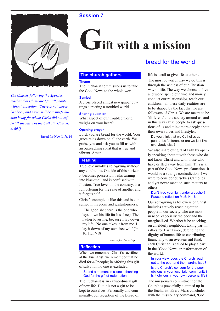



*The Church, following the Apostles, teaches that Christ died for all people without exception: 'There is not, never has been, and never will be a single human being for whom Christ did not suffer' (Catechism of the Catholic Church, n. 605).*

Bread for New Life, 14

# **Gift with a mission**

#### **The church gathers**

#### **Theme**

The Eucharist commissions us to take the Good News to the whole world.

#### **Symbol**

A cross placed amidst newspaper cuttings depicting a troubled world.

#### **Sharing question**

What aspect of our troubled world weighs on your heart?

#### **Opening prayer**

Lord, you are bread for the world. Your grace rains down on all the earth. We praise you and ask you to fill us with an outreaching spirit that is true and vibrant. Amen.

#### **Reading**

True love involves self-giving without any conditions. Outside of this horizon it becomes possession, risks turning into blackmail and is confused with illusion. True love, on the contrary, is a full offering for the sake of another and it forgets self.

Christ's example is like this and is consumed in freedom and gratuitousness:

'The good shepherd is the one who lays down his life for his sheep. The Father loves me, because I lay down my life...No one takes it from me. I lay it down of my own free will' (Jn 10:11,17-18).

*Bread for New Life*, 13

#### **Reflection**

When we remember Christ's sacrifice at the Eucharist, we remember that he died for *all* people; in offering this gift of salvation no one is excluded.

#### Spend a moment in silence, thanking God for the gift of redemption.

The Eucharist is an extraordinary gift of new life. But it is not a gift to be kept to ourselves. Personally and communally, our reception of the Bread of

### bread for the world

life is a call to give life to others.

The most powerful way we do this is through the witness of our Christian way of life. The way we choose to live and work, spend our time and money, conduct our relationships, teach our children... all these daily realities are to be shaped by the fact that we are followers of Christ. We are meant to be 'different' to the society around us, and in this way cause people to ask questions of us and think more deeply about their own values and lifestyles.

Do you think that we Catholics appear to be 'different' or are we just like everybody else?

We also share our gift of faith by openly speaking about it with those who do not know Christ and with those who have drifted away from him. This is all part of the Good News proclamation. It would be a strange contradiction if we were to consider ourselves Catholics and yet never mention such matters to others.

#### Don't hide your light under a bushell! Pause to reflect on Mt 5:14-16.

Our self-giving as followers of Christ includes actively reaching out to people in our society who are most in need, especially the poor and the marginalised. Whether it be checking on an elderly neighbour, taking part in rallies for East Timor, defending the dignity of human life or contributing financially to an overseas aid fund, each Christian is called to play a part in the 'Good News' transformation of the world.

In your view, does the Church reach out to the poor and the marginalised?

#### Is the Church's concern for the poor obvious in your local faith community? Is it obvious in your own personal life?

The missionary commitment of the Church is powerfully summed up in the Eucharist. Every Mass concludes with the missionary command, 'Go',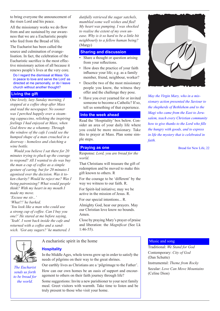to bring everyone the announcement of the risen Lord and his peace.

All the missionary works we do flow from and are sustained by our awareness that we are a Eucharistic people who feed from the Bread of life.

The Eucharist has been called the source and culmination of evangelisation. In fact, the celebration of the Eucharistic sacrifice is the most effective missionary action of all because it renews people's lives at the very core.

Do I regard the dismissal at Mass 'Go in peace to love and serve the Lord' as directed at me personally, or do I leave church without another thought?

#### **Living the gift**

*One lovely, lazy Sunday morning, I stopped at a coffee shop after Mass and read the newspaper. No sooner was I perched happily over a steaming cappuccino, relishing the inspiring feelings I had enjoyed at Mass, when God threw me a whammy. Through the window of the cafe I could see the humped shape of a man crouched in a doorway - homeless and clutching a wine bottle.* 

 *Would you believe I sat there for 20 minutes trying to pluck up the courage to respond? All I wanted to do was buy the man a cup of coffee as a simple gesture of caring, but for 20 minutes I agonised over the decision. Was it token charity? Would he reject me? Was I being patronising? What would people think? With my heart in my mouth I made my move.*

*'Excuse me sir...'* 

*'What?!' he barked.*

*'You look like a man who could use a strong cup of coffee. Can I buy you one?' He stared at me before saying, 'Yeah'. I went back inside the cafe and returned with a coffee and a sandwich. 'Got any sugars?' he muttered. I* 

**Hospitality**

*dutifully retrieved the sugar satchels, mumbled some well wishes and fled! My heart was pumping. I was shocked to realise the extent of my own unease. Why is it so hard to be a little bit neighbourly to a fellow human being?* (Margy)

#### **Sharing and discussion**

- Share a thought or question arising from your reflections.
- How does the practice of your faith influence your life; e.g. as a family member, friend, neighbour, worker?
- Describe two of the most missionary people you know, the witness they offer and the challenge they pose.
- Have you ever yearned for or invited someone to become a Catholic? If so, tell us something of that experience.

#### **Into the week ahead**

Read the 'Hospitality' box below. Consider an area of your daily life where you could be more missionary. Take this to prayer at Mass. Plan some simple steps.

#### **Praying as one**

Response: *Lord, you are bread for the world.*

That Christians will treasure the gift of redemption and be moved to make this gift known to others. R

For the courage to be 'different' by the way we witness to our faith. R.

For Spirit-led initiative; may we be active in the mission of Jesus. R.

For our special intentions... R.

Almighty God, hear our prayers. May our Christian love know no bounds. Amen.

Close by praying Mary's prayer of praise and liberation: the *Magnificat* (See Lk 1:46-55).



*The Eucharist sends us forth to be bread for the world.*

#### A eucharistic spirit in the home

In the Middle Ages, whole towns grew up in order to satisfy the needs of pilgrims on their way to the great shrines.

Our earthly lives as Christians are a 'pilgrimage to the Father'. How can our own homes be an oasis of support and encouragement to others on their faith journey through life?

Some suggestions: Invite a new parishioner to your next family meal. Greet visitors with warmth. Take time to listen and be truly present to those who visit your home.



*May the Virgin Mary, who in a missionary action presented the Saviour to the shepherds of Bethlehem and to the Magi who came from the East to Jerusalem, teach every Christian community how to give thanks to the Lord who fills the hungry with goods, and to express in life the mystery that is celebrated in faith.*

Bread for New Life, 22

#### Music and song

Traditional: *We Stand for God* Contemporary: *City of God*  (Dan Schutte) Instrumental: *Theme from Rocky* Secular: *Love Can Move Mountains* (Celine Dion)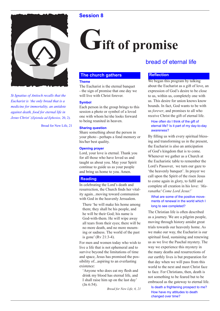

*St Ignatius of Antioch recalls that the Eucharist is 'the only bread that is a medicine for immortality, an antidote against death, food for eternal life in Jesus Christ'.*(*Epistula ad Ephesios,* 20, 2).

Bread for New Life, 21

# **Fift of promise**

#### **The church gathers**

#### **Theme**

The Eucharist is the eternal banquet - the sign of promise that one day we will live with Christ forever.

#### **Symbol**

Each person in the group brings to this session a photo or symbol of a loved one with whom he/she looks forward to being reunited in heaven.

#### **Sharing question**

Share something about the person in your photo - perhaps a fond memory or his/her best quality.

#### **Opening prayer**

Lord, your love is eternal. Thank you for all those who have loved us and taught us about you. May your Spirit continue to guide us as your people and bring us home to you. Amen.

#### **Reading**

In celebrating the Lord's death and resurrection, the Church finds her vitality again...moving toward communion with God in the heavenly Jersualem.

There 'he will make his home among them; they shall be his people, and he will be their God; his name is God-with-them. He will wipe away all tears from their eyes; there will be no more death, and no more mourning or sadness. The world of the past is gone' (Rv 21:3-4).

For men and women today who wish to live a life that is not ephemeral and to survive beyond the limitations of time and space, Jesus has promised the possibility of...aspiring to an everlasting existence:

'Anyone who does eat my flesh and drink my blood has eternal life, and I shall raise him up on the last day' (Jn 6:54).

*Bread for New Life, 6, 21*

## bread of eternal life

#### **Reflection**

We began this program by talking about the Eucharist as a gift of love, an expression of God's desire to be close to us, within us, completely one with us. This desire for union knows know bounds. In fact, God wants to be with us *forever*, and promises to all who receive Christ the gift of eternal life.

#### How often do I think of the gift of eternal life? Is it part of my day-to-day awareness?

By filling us with every spiritual blessing and transforming us in the present, the Eucharist is also an anticipation of God's kingdom that is to come. Whenever we gather as a Church at the Eucharistic table to remember the Lord's Passover, we turn our gaze to 'the heavenly banquet'. In prayer we call upon the Spirit of the risen Jesus to come again in glory, to fulfil and complete all creation in his love: *'Maranatha! Come Lord Jesus!'*

#### What are some of the positive movements of renewal in the world which I long to see completed?

The Christian life is often described as a journey. We are a pilgrim people, moving through history amidst great trials towards our heavenly home. As we make our way, the Eucharist is our spiritual food, sustaining and renewing us as we live the Paschal mystery. The way we experience this mystery in the many deaths and resurrections of our earthly lives is but preparation for that day when we will pass from this world to the next and meet Christ face to face. For Christians, then, death is not something to be feared but to be embraced as the gateway to eternal life.

Is death a frightening prospect to me? How have my attitudes to death changed over time?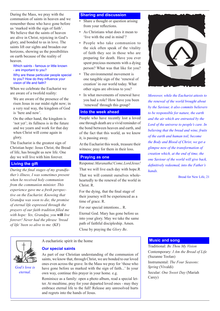During the Mass, we pray with the communion of saints in heaven and we remember those who have gone before us 'marked with the sign of faith'. We believe that the saints of heaven are alive in Christ, rejoicing in God's glory, and bonded to us in love. The saints lift our sights and broaden our horizons, showing us the possibilities on earth because of the reality of heaven.

#### Which saints - famous or little known - are important to you?

Why are these particular people special to you? How do they influence your vision of life and faith?

When we celebrate the Eucharist we are aware of a twofold reality:

We are aware of the presence of the risen Jesus in our midst right now; in a very real way, the kingdom of God is 'here and now'.

On the other hand, the kingdom is 'not yet'; its fullness is in the future and we yearn and work for that day when Christ will come again in glory.

The Eucharist is the greatest sign of Christian hope: Jesus Christ, the Bread of life, has brought us new life. One day we will live with him forever.

#### **Living the gift**

*During the final stages of my grandfather's illness, I was sometimes present when he received holy communion from the communion minister. This experience gave me a fresh perspective on the Eucharist. Knowing that Grandpa was soon to die, the promise of eternal life expressed through the prayers of our faith tradition filled me with hope: Yes, Grandpa, you* **will** *live forever! Never had the phrase 'bread of life' been so alive to me.* (KF)

#### **Sharing and discussion**

- Share a thought or question arising from your reflections.
- As Christians what does it mean to 'live with the end in mind'?
- People who take communion to the sick often speak of the vitality of faith they see in those who are preparing for death. Have you ever spent precious moments with a dying person? What was that like for you?
- The environmental movement is one tangible sign of the 'renewal of creation' in our world today. What other signs are obvious to you?
- In what movements of renewal have you had a role? How have you been 'renewed' through this group?

#### **Into the week ahead**

People who have recently lost a loved one through death are a vivid reminder of the bond between heaven and earth, and of the fact that this world, as we know it, is passing away.

At the Eucharist this week, treasure their witness; pray for them in their loss.

#### **Praying as one**

Response: *Maranatha! Come, Lord Jesus!*

That we will live each day with hope.R That we will commit ourselves wholeheartedly to the renewal of the world in Christ. R.

For the dying, that the final stage of their journey will be experienced as a time of grace. R.

For our special intentions... R.

Eternal God. Mary has gone before us into your glory. May we take the same path of faithful discipleship. Amen.

Close by praying the *Glory Be*.



*God's love is eternal.*

A eucharistic spirit in the home

#### **Our special saints**

As part of our Christian understanding of the communion of saints, we know that, through Christ, we are bonded to our loved ones even across the grave. In the Mass we pray for 'those who have gone before us marked with the sign of faith...' In your own way, continue this prayer in your home. e.g.

Reminisce as a family: open a photo album, read a special letter. At mealtime, pray for your departed loved ones - may they embrace eternal life to the full! Release any unresolved hurts and regrets into the hands of Jesus.



*Moreover, while the Eucharist attests to the renewal of the world brought about by the Saviour, it also commits believers to be responsible for nature, the earth and the air which are entrusted by the Lord of the universe to people's care. In believing that the bread and wine, fruits of the earth and human toil, become the Body and Blood of Christ, we get a glimpse now of the transformation of creation which, at the end of time, the one Saviour of the world will give back, definitively redeemed, into the Father's hands.*

Bread for New Life, 21

#### **Music and song**

Traditional: *Be Thou My Vision* Contemporary: *I Am the Bread of Life* (Suzanne Toolan) Instrumental: *The Four Seasons: Spring* (Vivaldi) Secular: *One Sweet Day* (Mariah Carey)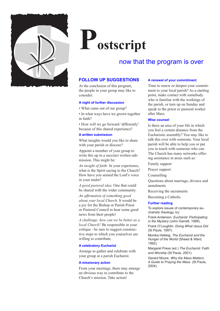

# **Postscript**

## now that the program is over

#### **FOLLOW UP SUGGESTIONS**

At the conclusion of this program, the people in your group may like to consider:

#### **A night of further discussion**

• What came out of our group?

• In what ways have we grown together in faith?

• How will we go forward 'differently' because of this shared experience?

#### **A written submission**

What insights would you like to share with your parish or diocese?

Appoint a member of your group to write this up in a succinct written submission. This might be:

*An insight of faith:* In your experience, what is the Spirit saying to the Church? How have you sensed the Lord's voice in your midst?

*A good pastoral idea.* One that could be shared with the wider community.

*An affirmation of something good about your local Church*. It would be a joy for the Bishop or Parish Priest or Pastoral Council to hear some good news from their people!

*A challenge: how can we be better as a local Church?* Be responsible in your critique - be sure to suggest constructive steps to which you yourselves are willing to contribute.

#### **A celebratory Eucharist**

Arrange to gather and celebrate with your group at a parish Eucharist.

#### **A missionary action**

From your meetings, there may emerge an obvious way to contribute to the Church's mission. Take action!

#### **A renewal of your commitment**

Time to renew or deepen your commitment to your local parish? As a starting point, make contact with somebody who is familiar with the workings of the parish, or turn up on Sunday and speak to the priest or pastoral worker after Mass.

#### **Wise counsel**

Is there an area of your life in which you feel a certain distance from the Eucharistic assembly? You may like to talk this over with someone. Your local parish will be able to help you or put you in touch with someone who can. The Church has many networks offering assistance in areas such as:

Family support

Prayer support

Counselling

Questions about marriage, divorce and annulments

Receiving the sacraments

Becoming a Catholic

#### **Further reading**

To explore issues of contemporary eucharistic theology, try:

Frank Anderson. *Eucharist: Participating in the Mystery* (John Garratt, 1998).

Frank O'Loughlin. *Doing What Jesus Did* (St Pauls, 1997).

Monika Hellwig. *The Eucharist and the Hunger of the World* (Sheed & Ward, 1992).

Margaret Press (ed.) *The Eucharist: Faith and Worship* (St Pauls, 2001).

Gerard Moore. *Why the Mass Matters. A Guide to Praying the Mass.* (St Pauls, 2004).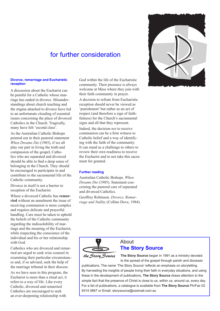## for further consideration

#### **Divorce, remarriage and Eucharistic reception**

A discussion about the Eucharist can be painful for a Catholic whose marriage has ended in divorce. Misunderstandings about church teaching and the stigma attached to divorce have led to an unfortunate clouding of essential issues concerning the place of divorced Catholics in the Church. Tragically, many have felt 'second class'.

As the Australian Catholic Bishops pointed out in their pastoral statement *When Dreams Die* (1985), if we all play our part in living the truth and compassion of the gospel, Catholics who are separated and divorced should be able to find a deep sense of belonging in the Church. They should be encouraged to participate in and contribute to the sacramental life of the Catholic community.

Divorce in itself is not a barrier to reception of the Eucharist.

Where a divorced Catholic has **remarried** without an annulment the issue of receiving communion is more complex and requires delicate and prayerful handling. Care must be taken to uphold the beliefs of the Catholic community regarding the indissolubility of marriage and the meaning of the Eucharist, while respecting the conscience of the individual and his or her relationship with God.

Catholics who are divorced and remarried are urged to seek wise counsel in examining their particular circumstances and, if so advised, seek the help of the marriage tribunal in their diocese.

As we have seen in this program, the Eucharist is more than a ritual act, it refers to a way of life. Like every Catholic, divorced and remarried Catholics are encouraged to seek an ever-deepening relationship with

God within the life of the Eucharistic community. Their presence is always welcome at Mass where they join with their faith community in prayer.

A decision to refrain from Eucharistic reception should never be viewed as 'punishment' but rather as an act of respect (and therefore a sign of faithfulness) for the Church's sacramental signs and all that they represent.

Indeed, the decision *not* to receive communion can be a firm witness to Catholic belief and a way of identifying with the faith of the community. It can stand as a challenge to others to review their own readiness to receive the Eucharist and to not take this sacrament for granted.

#### **Further reading**

Australian Catholic Bishops. *When Dreams Die* (1985). Statement concerning the pastoral care of separated and divorced Catholics.

Geoffrey Robinson. *Divorce, Remarriage and Nullity* (Collins Dove, 1984).





### About **The Story Source**

**The Story Source** began in 1991 as a ministry devoted to the spread of the gospel through parish and diocesan

publications. The name 'The Story Source' reflects an emphasis on storytelling. By harvesting the insights of people living their faith in everyday situations, and using these in the development of publications, **The Story Source** draws attention to the simple fact that the presence of Christ is close to us, within us, around us, every day. For a list of publications, a catalogue is available from **The Story Source** Ph/Fax 02 9314 0867 or Email: storysource@ozemail.com.au